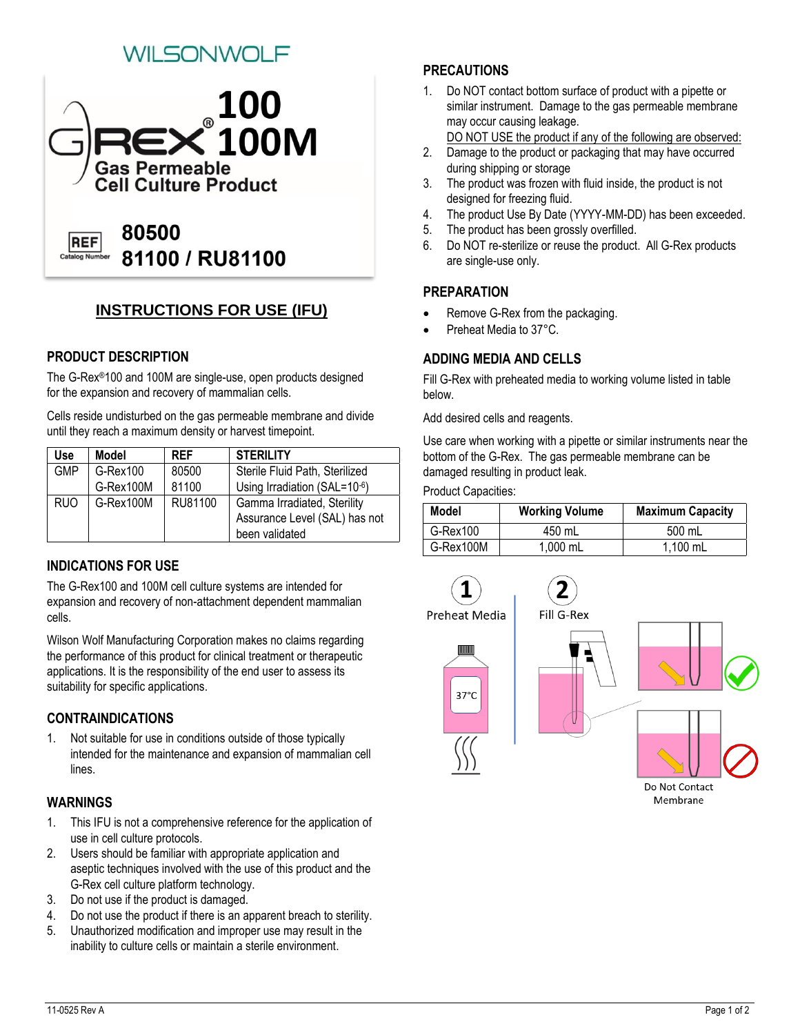# VILSONWOLF



# **INSTRUCTIONS FOR USE (IFU)**

## **PRODUCT DESCRIPTION**

The G-Rex®100 and 100M are single-use, open products designed for the expansion and recovery of mammalian cells.

Cells reside undisturbed on the gas permeable membrane and divide until they reach a maximum density or harvest timepoint.

| Use l      | <b>Model</b> | <b>RFF</b> | <b>STERILITY</b>               |
|------------|--------------|------------|--------------------------------|
| <b>GMP</b> | $G$ -Rex100  | 80500      | Sterile Fluid Path, Sterilized |
|            | G-Rex100M    | 81100      | Using Irradiation (SAL=10-6)   |
| <b>RUO</b> | G-Rex100M    | RU81100    | Gamma Irradiated, Sterility    |
|            |              |            | Assurance Level (SAL) has not  |
|            |              |            | been validated                 |

# **INDICATIONS FOR USE**

The G-Rex100 and 100M cell culture systems are intended for expansion and recovery of non-attachment dependent mammalian cells.

Wilson Wolf Manufacturing Corporation makes no claims regarding the performance of this product for clinical treatment or therapeutic applications. It is the responsibility of the end user to assess its suitability for specific applications.

## **CONTRAINDICATIONS**

1. Not suitable for use in conditions outside of those typically intended for the maintenance and expansion of mammalian cell lines.

#### **WARNINGS**

- 1. This IFU is not a comprehensive reference for the application of use in cell culture protocols.
- 2. Users should be familiar with appropriate application and aseptic techniques involved with the use of this product and the G-Rex cell culture platform technology.
- 3. Do not use if the product is damaged.
- 4. Do not use the product if there is an apparent breach to sterility.
- 5. Unauthorized modification and improper use may result in the inability to culture cells or maintain a sterile environment.

# **PRECAUTIONS**

- 1. Do NOT contact bottom surface of product with a pipette or similar instrument. Damage to the gas permeable membrane may occur causing leakage.
	- DO NOT USE the product if any of the following are observed:
- 2. Damage to the product or packaging that may have occurred during shipping or storage
- 3. The product was frozen with fluid inside, the product is not designed for freezing fluid.
- 4. The product Use By Date (YYYY-MM-DD) has been exceeded.
- 5. The product has been grossly overfilled.
- 6. Do NOT re-sterilize or reuse the product. All G-Rex products are single-use only.

## **PREPARATION**

- Remove G-Rex from the packaging.
- Preheat Media to 37°C.

## **ADDING MEDIA AND CELLS**

Fill G-Rex with preheated media to working volume listed in table below.

Add desired cells and reagents.

Use care when working with a pipette or similar instruments near the bottom of the G-Rex. The gas permeable membrane can be damaged resulting in product leak.

Product Capacities:

| <b>Model</b> | <b>Working Volume</b> | <b>Maximum Capacity</b> |
|--------------|-----------------------|-------------------------|
| G-Rex100     | 450 mL                | 500 mL                  |
| G-Rex100M    | 1,000 mL              | 1,100 mL                |